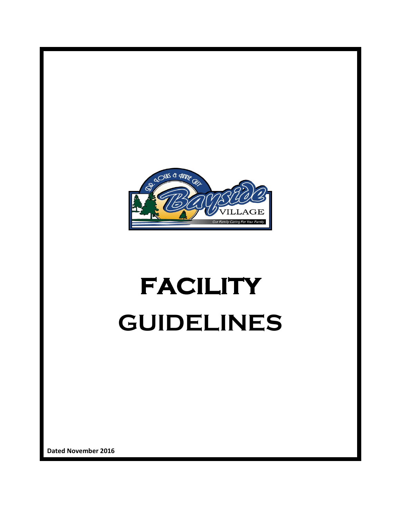

# **FACILITY GUIDELINES**

**Dated November 2016**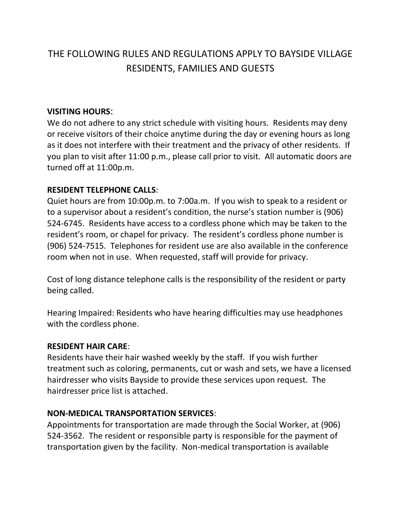# THE FOLLOWING RULES AND REGULATIONS APPLY TO BAYSIDE VILLAGE RESIDENTS, FAMILIES AND GUESTS

#### **VISITING HOURS**:

We do not adhere to any strict schedule with visiting hours. Residents may deny or receive visitors of their choice anytime during the day or evening hours as long as it does not interfere with their treatment and the privacy of other residents. If you plan to visit after 11:00 p.m., please call prior to visit. All automatic doors are turned off at 11:00p.m.

#### **RESIDENT TELEPHONE CALLS**:

Quiet hours are from 10:00p.m. to 7:00a.m. If you wish to speak to a resident or to a supervisor about a resident's condition, the nurse's station number is (906) 524-6745. Residents have access to a cordless phone which may be taken to the resident's room, or chapel for privacy. The resident's cordless phone number is (906) 524-7515. Telephones for resident use are also available in the conference room when not in use. When requested, staff will provide for privacy.

Cost of long distance telephone calls is the responsibility of the resident or party being called.

Hearing Impaired: Residents who have hearing difficulties may use headphones with the cordless phone.

#### **RESIDENT HAIR CARE**:

Residents have their hair washed weekly by the staff. If you wish further treatment such as coloring, permanents, cut or wash and sets, we have a licensed hairdresser who visits Bayside to provide these services upon request. The hairdresser price list is attached.

#### **NON-MEDICAL TRANSPORTATION SERVICES**:

Appointments for transportation are made through the Social Worker, at (906) 524-3562. The resident or responsible party is responsible for the payment of transportation given by the facility. Non-medical transportation is available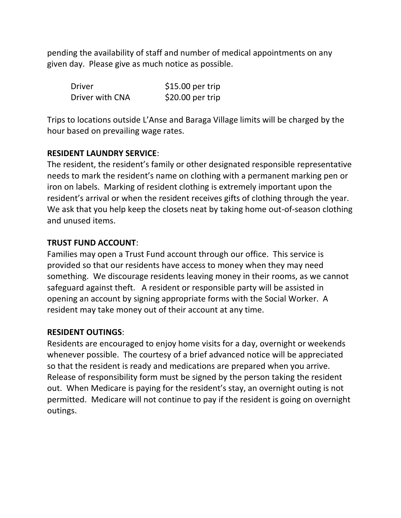pending the availability of staff and number of medical appointments on any given day. Please give as much notice as possible.

| <b>Driver</b>   | $$15.00$ per trip |
|-----------------|-------------------|
| Driver with CNA | $$20.00$ per trip |

Trips to locations outside L'Anse and Baraga Village limits will be charged by the hour based on prevailing wage rates.

#### **RESIDENT LAUNDRY SERVICE**:

The resident, the resident's family or other designated responsible representative needs to mark the resident's name on clothing with a permanent marking pen or iron on labels. Marking of resident clothing is extremely important upon the resident's arrival or when the resident receives gifts of clothing through the year. We ask that you help keep the closets neat by taking home out-of-season clothing and unused items.

#### **TRUST FUND ACCOUNT**:

Families may open a Trust Fund account through our office. This service is provided so that our residents have access to money when they may need something. We discourage residents leaving money in their rooms, as we cannot safeguard against theft. A resident or responsible party will be assisted in opening an account by signing appropriate forms with the Social Worker. A resident may take money out of their account at any time.

#### **RESIDENT OUTINGS**:

Residents are encouraged to enjoy home visits for a day, overnight or weekends whenever possible. The courtesy of a brief advanced notice will be appreciated so that the resident is ready and medications are prepared when you arrive. Release of responsibility form must be signed by the person taking the resident out. When Medicare is paying for the resident's stay, an overnight outing is not permitted. Medicare will not continue to pay if the resident is going on overnight outings.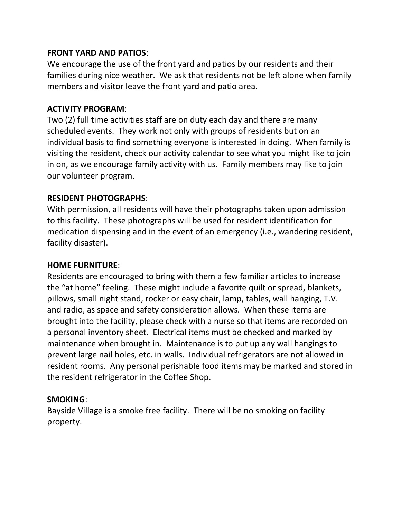#### **FRONT YARD AND PATIOS**:

We encourage the use of the front yard and patios by our residents and their families during nice weather. We ask that residents not be left alone when family members and visitor leave the front yard and patio area.

# **ACTIVITY PROGRAM**:

Two (2) full time activities staff are on duty each day and there are many scheduled events. They work not only with groups of residents but on an individual basis to find something everyone is interested in doing. When family is visiting the resident, check our activity calendar to see what you might like to join in on, as we encourage family activity with us. Family members may like to join our volunteer program.

#### **RESIDENT PHOTOGRAPHS**:

With permission, all residents will have their photographs taken upon admission to this facility. These photographs will be used for resident identification for medication dispensing and in the event of an emergency (i.e., wandering resident, facility disaster).

#### **HOME FURNITURE**:

Residents are encouraged to bring with them a few familiar articles to increase the "at home" feeling. These might include a favorite quilt or spread, blankets, pillows, small night stand, rocker or easy chair, lamp, tables, wall hanging, T.V. and radio, as space and safety consideration allows. When these items are brought into the facility, please check with a nurse so that items are recorded on a personal inventory sheet. Electrical items must be checked and marked by maintenance when brought in. Maintenance is to put up any wall hangings to prevent large nail holes, etc. in walls. Individual refrigerators are not allowed in resident rooms. Any personal perishable food items may be marked and stored in the resident refrigerator in the Coffee Shop.

#### **SMOKING**:

Bayside Village is a smoke free facility. There will be no smoking on facility property.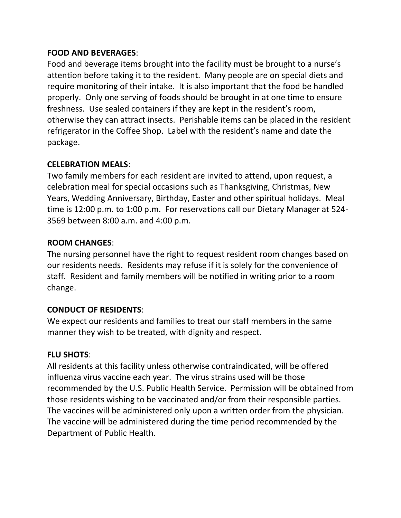#### **FOOD AND BEVERAGES**:

Food and beverage items brought into the facility must be brought to a nurse's attention before taking it to the resident. Many people are on special diets and require monitoring of their intake. It is also important that the food be handled properly. Only one serving of foods should be brought in at one time to ensure freshness. Use sealed containers if they are kept in the resident's room, otherwise they can attract insects. Perishable items can be placed in the resident refrigerator in the Coffee Shop. Label with the resident's name and date the package.

#### **CELEBRATION MEALS**:

Two family members for each resident are invited to attend, upon request, a celebration meal for special occasions such as Thanksgiving, Christmas, New Years, Wedding Anniversary, Birthday, Easter and other spiritual holidays. Meal time is 12:00 p.m. to 1:00 p.m. For reservations call our Dietary Manager at 524- 3569 between 8:00 a.m. and 4:00 p.m.

# **ROOM CHANGES**:

The nursing personnel have the right to request resident room changes based on our residents needs. Residents may refuse if it is solely for the convenience of staff. Resident and family members will be notified in writing prior to a room change.

# **CONDUCT OF RESIDENTS**:

We expect our residents and families to treat our staff members in the same manner they wish to be treated, with dignity and respect.

# **FLU SHOTS**:

All residents at this facility unless otherwise contraindicated, will be offered influenza virus vaccine each year. The virus strains used will be those recommended by the U.S. Public Health Service. Permission will be obtained from those residents wishing to be vaccinated and/or from their responsible parties. The vaccines will be administered only upon a written order from the physician. The vaccine will be administered during the time period recommended by the Department of Public Health.